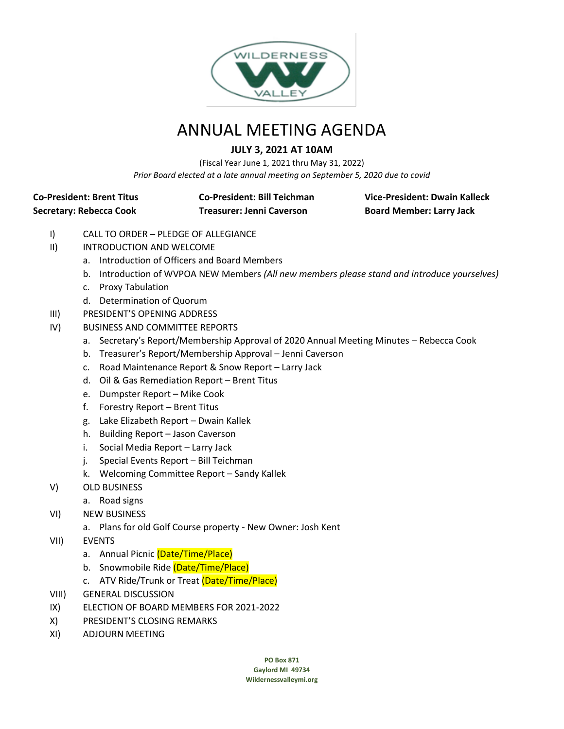

# ANNUAL MEETING AGENDA

### **JULY 3, 2021 AT 10AM**

(Fiscal Year June 1, 2021 thru May 31, 2022) *Prior Board elected at a late annual meeting on September 5, 2020 due to covid*

# **Secretary: Rebecca Cook Treasurer: Jenni Caverson Board Member: Larry Jack**

**Co-President: Brent Titus Co-President: Bill Teichman Vice-President: Dwain Kalleck**

- I) CALL TO ORDER PLEDGE OF ALLEGIANCE
- II) INTRODUCTION AND WELCOME
	- a. Introduction of Officers and Board Members
	- b. Introduction of WVPOA NEW Members *(All new members please stand and introduce yourselves)*
	- c. Proxy Tabulation
	- d. Determination of Quorum
- III) PRESIDENT'S OPENING ADDRESS
- IV) BUSINESS AND COMMITTEE REPORTS
	- a. Secretary's Report/Membership Approval of 2020 Annual Meeting Minutes Rebecca Cook
	- b. Treasurer's Report/Membership Approval Jenni Caverson
	- c. Road Maintenance Report & Snow Report Larry Jack
	- d. Oil & Gas Remediation Report Brent Titus
	- e. Dumpster Report Mike Cook
	- f. Forestry Report Brent Titus
	- g. Lake Elizabeth Report Dwain Kallek
	- h. Building Report Jason Caverson
	- i. Social Media Report Larry Jack
	- j. Special Events Report Bill Teichman
	- k. Welcoming Committee Report Sandy Kallek
- V) OLD BUSINESS
	- a. Road signs
- VI) NEW BUSINESS
	- a. Plans for old Golf Course property New Owner: Josh Kent
- VII) EVENTS
	- a. Annual Picnic (Date/Time/Place)
	- b. Snowmobile Ride (Date/Time/Place)
	- c. ATV Ride/Trunk or Treat (Date/Time/Place)
- VIII) GENERAL DISCUSSION
- IX) ELECTION OF BOARD MEMBERS FOR 2021-2022
- X) PRESIDENT'S CLOSING REMARKS
- XI) ADJOURN MEETING

**PO Box 871**

**Gaylord MI 49734 Wildernessvalleymi.org**